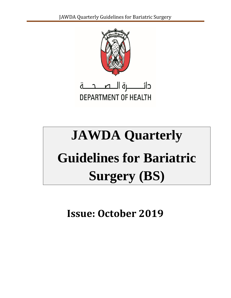

# **JAWDA Quarterly Guidelines for Bariatric Surgery (BS)**

**Issue: October 2019**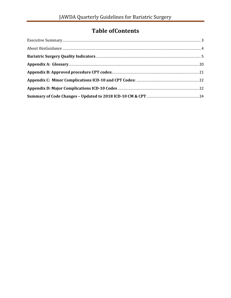# **Table of Contents**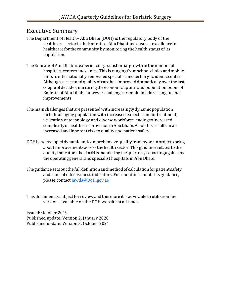#### <span id="page-2-0"></span>Executive Summary

The Department of Health– Abu Dhabi (DOH) is the regulatory body of the healthcare sector in the Emirate of Abu Dhabi and ensures excellence in healthcare for the community by monitoring the health status of its population.

- The Emirate of Abu Dhabi is experiencing a substantial growth in the number of hospitals, centers and clinics. This is ranging from school clinics and mobile units to internationally renowned specialist and tertiary academic centers. Although, access and quality of care has improved dramatically over the last coupleofdecades,mirroringthe economicupturnand population boom of Emirate of Abu Dhabi, however challenges remain in addressing further improvements.
- The main challenges that are presented with increasingly dynamic population include an aging population with increased expectation for treatment, utilization of technology and diverseworkforce leadingtoincreased complexityofhealthcareprovisioninAbuDhabi.All of this results in an increased and inherent risk to quality and patient safety.
- DOHhasdevelopeddynamicandcomprehensivequalityframeworkinordertobring about improvements across the health sector. This guidance relates to the quality indicators that DOHismandatingthequarterlyreportingagainstby theoperatinggeneralandspecialist hospitals in AbuDhabi.
- The guidance sets out the full definition and method of calculation for patient safety and clinical effectiveness indicators. For enquiries about this guidance, please contact [jawda@DoH.gov.ae](mailto:jawda@DoH.gov.ae)

This document is subject for review and therefore it is advisable to utilize online versions available on the DOH website at all times.

Issued: October 2019 Published update: Version 2, January 2020 Published update: Version 3, October 2021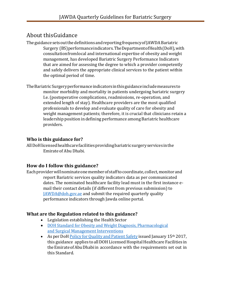## <span id="page-3-0"></span>About thisGuidance

TheguidancesetsoutthedefinitionsandreportingfrequencyofJAWDABariatric Surgery (BS)performanceindicators.TheDepartmentofHealth(DoH),with consultationfromlocal and international expertise of obesity and weight management, has developed Bariatric Surgery Performance Indicators that are aimed for assessing the degree to which a provider competently and safely delivers the appropriate clinical services to the patient within the optimal period of time.

TheBariatricSurgeryperformanceindicatorsinthisguidanceincludemeasuresto monitor morbidity and mortality in patients undergoing bariatric surgery I.e. (postoperative complications, readmissions, re-operation, and extended length of stay). Healthcare providers are the most qualified professionals to develop and evaluate quality of care for obesity and weight management patients; therefore, it is crucial that clinicians retain a leadership position in defining performance among Bariatric healthcare providers.

#### **Who is this guidance for?**

AllDoHlicensedhealthcarefacilitiesprovidingbariatricsurgeryservices inthe Emirateof Abu Dhabi.

#### **How do I follow this guidance?**

Each provider will nominate one member of staff to coordinate, collect, monitor and report Bariatric services quality indicators data as per communicated dates. The nominated healthcare facility lead must in the first instance email their contact details (if different from previous submission) to [JAWDA@doh.gov.ae](mailto:JAWDA@doh.gov.ae) and submit the required quarterly quality performance indicators through Jawda online portal.

#### **What are the Regulation related to this guidance?**

- Legislation establishing the Health Sector
- [DOH Standard for Obesity and Weight Diagnosis, Pharmacological](https://www.haad.ae/HAAD/LinkClick.aspx?fileticket=Z2axvsvZ7uU%3d&tabid=820)  [and Surgical](https://www.haad.ae/HAAD/LinkClick.aspx?fileticket=Z2axvsvZ7uU%3d&tabid=820) Management [Interventions](https://www.haad.ae/HAAD/LinkClick.aspx?fileticket=Z2axvsvZ7uU%3d&tabid=820)
- As per DoH Policy for Quality and Patient Safety issued January 15<sup>th</sup> 2017, this guidance applies to all DOH Licensed Hospital Healthcare Facilities in theEmirateofAbuDhabiin accordance with the requirements set out in this Standard.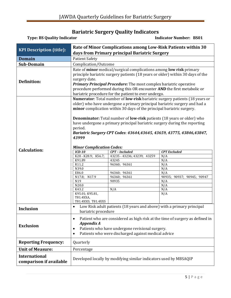#### **Bariatric Surgery Quality Indicators**

<span id="page-4-0"></span>

| <b>Type: BS Quality Indicator</b>               |                                                                                                                                                                                                                                                                                                                                                                                       |                                                                                                                                                                                                                                                                                                                                                                                                                     | <b>Indicator Number: BS01</b>                                                                      |
|-------------------------------------------------|---------------------------------------------------------------------------------------------------------------------------------------------------------------------------------------------------------------------------------------------------------------------------------------------------------------------------------------------------------------------------------------|---------------------------------------------------------------------------------------------------------------------------------------------------------------------------------------------------------------------------------------------------------------------------------------------------------------------------------------------------------------------------------------------------------------------|----------------------------------------------------------------------------------------------------|
| <b>KPI Description (title):</b>                 |                                                                                                                                                                                                                                                                                                                                                                                       | Rate of Minor Complications among Low-Risk Patients within 30<br>days from Primary principal Bariatric Surgery                                                                                                                                                                                                                                                                                                      |                                                                                                    |
| <b>Domain</b>                                   | <b>Patient Safety</b>                                                                                                                                                                                                                                                                                                                                                                 |                                                                                                                                                                                                                                                                                                                                                                                                                     |                                                                                                    |
| Sub-Domain                                      | Complication/Outcome                                                                                                                                                                                                                                                                                                                                                                  |                                                                                                                                                                                                                                                                                                                                                                                                                     |                                                                                                    |
| <b>Definition:</b>                              | Rate of minor medical/surgical complications among low risk primary<br>principle bariatric surgery patients (18 years or older) within 30 days of the<br>surgery date.<br><b>Primary Principal Procedure:</b> The most complex bariatric operative<br>procedure performed during this OR encounter AND the first metabolic or<br>bariatric procedure for the patient to ever undergo. |                                                                                                                                                                                                                                                                                                                                                                                                                     |                                                                                                    |
| <b>Calculation:</b>                             | period.<br>43999<br><b>Minor Complication Codes:</b><br>$ICD-10$                                                                                                                                                                                                                                                                                                                      | older) who have undergone a primary principal bariatric surgery and had a<br>minor complication within 30 days of the principal bariatric surgery.<br><b>Denominator:</b> Total number of <b>low-risk</b> patients (18 years or older) who<br>have undergone a primary principal bariatric surgery during the reporting<br>Bariatric Surgery CPT Codes: 43644,43645, 43659, 43775, 43846,43847,<br>$CPT$ – Included | Numerator: Total number of low-risk bariatric surgery patients (18 years or<br><b>CPT</b> Excluded |
|                                                 | K28 - K28.9; K56.7;<br>K91.89<br>R11.2<br>N39.0<br>E86.0<br>N17.8;<br>N17.9<br>N19<br>N20.0<br>K43.2<br>K95.01; K95.81,<br>T81.4XXA,<br>T81.4XXD, T81.4XXS                                                                                                                                                                                                                            | 43235 - 43236; 43239; 43259<br>43245<br>96360; 96361<br>96360; 96361<br>96360; 96361<br>90935<br>N/A                                                                                                                                                                                                                                                                                                                | N/A<br>N/A<br>N/A<br>N/A<br>N/A<br>90935; 90937; 90945; 90947<br>N/A<br>N/A<br>N/A<br>N/A          |
| <b>Inclusion</b>                                | Low Risk adult patients (18 years and above) with a primary principal<br>$\bullet$<br>bariatric procedure                                                                                                                                                                                                                                                                             |                                                                                                                                                                                                                                                                                                                                                                                                                     |                                                                                                    |
| <b>Exclusion</b>                                | Patient who are considered as high risk at the time of surgery as defined in<br>$\bullet$<br>Appendix A<br>Patients who have undergone revisional surgery.<br>$\bullet$<br>Patients who were discharged against medical advice<br>$\bullet$                                                                                                                                           |                                                                                                                                                                                                                                                                                                                                                                                                                     |                                                                                                    |
| <b>Reporting Frequency:</b>                     | Quarterly                                                                                                                                                                                                                                                                                                                                                                             |                                                                                                                                                                                                                                                                                                                                                                                                                     |                                                                                                    |
| <b>Unit of Measure:</b>                         | Percentage                                                                                                                                                                                                                                                                                                                                                                            |                                                                                                                                                                                                                                                                                                                                                                                                                     |                                                                                                    |
| <b>International</b><br>comparison if available | Developed locally by modifying similar indicators used by MBSAQIP                                                                                                                                                                                                                                                                                                                     |                                                                                                                                                                                                                                                                                                                                                                                                                     |                                                                                                    |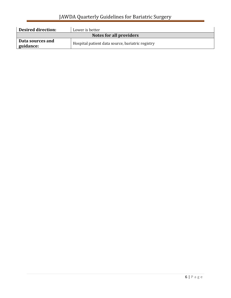| <b>Desired direction:</b>     | Lower is better                                  |  |
|-------------------------------|--------------------------------------------------|--|
| Notes for all providers       |                                                  |  |
| Data sources and<br>guidance: | Hospital patient data source, bariatric registry |  |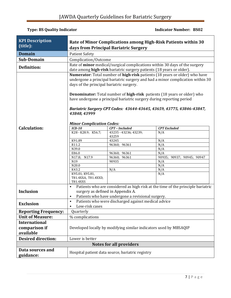| <b>KPI Description</b>      | Rate of Minor Complications among High-Risk Patients within 30                                                                                                                                      |                                                                                                                                                                                                                                                                                                                                                                                                                                                   |                            |
|-----------------------------|-----------------------------------------------------------------------------------------------------------------------------------------------------------------------------------------------------|---------------------------------------------------------------------------------------------------------------------------------------------------------------------------------------------------------------------------------------------------------------------------------------------------------------------------------------------------------------------------------------------------------------------------------------------------|----------------------------|
| (title):                    |                                                                                                                                                                                                     | days from Principal Bariatric Surgery                                                                                                                                                                                                                                                                                                                                                                                                             |                            |
| <b>Domain</b>               | <b>Patient Safety</b>                                                                                                                                                                               |                                                                                                                                                                                                                                                                                                                                                                                                                                                   |                            |
| Sub-Domain                  | Complication/Outcome                                                                                                                                                                                |                                                                                                                                                                                                                                                                                                                                                                                                                                                   |                            |
|                             | Rate of minor medical/surgical complications within 30 days of the surgery                                                                                                                          |                                                                                                                                                                                                                                                                                                                                                                                                                                                   |                            |
| <b>Definition:</b>          | date among high-risk bariatric surgery patients (18 years or older).                                                                                                                                |                                                                                                                                                                                                                                                                                                                                                                                                                                                   |                            |
|                             | 43848, 43999<br><b>Minor Complication Codes:</b>                                                                                                                                                    | Numerator: Total number of high-risk patients (18 years or older) who have<br>undergone a principal bariatric surgery and had a minor complication within 30<br>days of the principal bariatric surgery.<br><b>Denominator:</b> Total number of <b>high-risk</b> patients (18 years or older) who<br>have undergone a principal bariatric surgery during reporting period<br>Bariatric Surgery CPT Codes: 43644-43645, 43659, 43775, 43846-43847, |                            |
| <b>Calculation:</b>         | $ICD-10$                                                                                                                                                                                            | CPT - Included                                                                                                                                                                                                                                                                                                                                                                                                                                    | <b>CPT</b> Excluded        |
|                             | K28 - K28.9; K56.7;                                                                                                                                                                                 | 43235 - 43236; 43239;                                                                                                                                                                                                                                                                                                                                                                                                                             | N/A                        |
|                             |                                                                                                                                                                                                     | 43259                                                                                                                                                                                                                                                                                                                                                                                                                                             |                            |
|                             | K91.89                                                                                                                                                                                              | 43245                                                                                                                                                                                                                                                                                                                                                                                                                                             | N/A                        |
|                             | R11.2<br>N39.0                                                                                                                                                                                      | 96360; 96361                                                                                                                                                                                                                                                                                                                                                                                                                                      | N/A<br>N/A                 |
|                             | E86.0                                                                                                                                                                                               | 96360;<br>96361                                                                                                                                                                                                                                                                                                                                                                                                                                   | N/A                        |
|                             | N17.8; N17.9                                                                                                                                                                                        | 96360; 96361                                                                                                                                                                                                                                                                                                                                                                                                                                      | 90935; 90937; 90945; 90947 |
|                             | N19                                                                                                                                                                                                 | 90935                                                                                                                                                                                                                                                                                                                                                                                                                                             | N/A                        |
|                             | N20.0                                                                                                                                                                                               |                                                                                                                                                                                                                                                                                                                                                                                                                                                   | N/A                        |
|                             | K43.2                                                                                                                                                                                               | N/A                                                                                                                                                                                                                                                                                                                                                                                                                                               | N/A                        |
|                             | K95.01; K95.81,<br>T81.4XXA, T81.4XXD,<br>T81.4XXS                                                                                                                                                  |                                                                                                                                                                                                                                                                                                                                                                                                                                                   | N/A                        |
| <b>Inclusion</b>            | Patients who are considered as high risk at the time of the principle bariatric<br>$\bullet$<br>surgery as defined in Appendix A.<br>Patients who have undergone a revisional surgery.<br>$\bullet$ |                                                                                                                                                                                                                                                                                                                                                                                                                                                   |                            |
| <b>Exclusion</b>            | Patients who were discharged against medical advice<br>$\bullet$<br>Low-risk cases                                                                                                                  |                                                                                                                                                                                                                                                                                                                                                                                                                                                   |                            |
| <b>Reporting Frequency:</b> | Quarterly                                                                                                                                                                                           |                                                                                                                                                                                                                                                                                                                                                                                                                                                   |                            |
| <b>Unit of Measure:</b>     | % complications                                                                                                                                                                                     |                                                                                                                                                                                                                                                                                                                                                                                                                                                   |                            |
| <b>International</b>        |                                                                                                                                                                                                     |                                                                                                                                                                                                                                                                                                                                                                                                                                                   |                            |
| comparison if               |                                                                                                                                                                                                     | Developed locally by modifying similar indicators used by MBSAQIP                                                                                                                                                                                                                                                                                                                                                                                 |                            |
| available                   |                                                                                                                                                                                                     |                                                                                                                                                                                                                                                                                                                                                                                                                                                   |                            |
| <b>Desired direction:</b>   | Lower is better                                                                                                                                                                                     |                                                                                                                                                                                                                                                                                                                                                                                                                                                   |                            |
|                             |                                                                                                                                                                                                     | <b>Notes for all providers</b>                                                                                                                                                                                                                                                                                                                                                                                                                    |                            |
| Data sources and            |                                                                                                                                                                                                     |                                                                                                                                                                                                                                                                                                                                                                                                                                                   |                            |
| guidance:                   |                                                                                                                                                                                                     | Hospital patient data source, bariatric registry                                                                                                                                                                                                                                                                                                                                                                                                  |                            |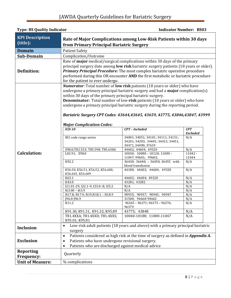# JAWDA Quarterly Guidelines for Bariatric Surgery

| <b>Type: BS Quality Indicator</b>  |                                                                                                                                 |                                                                                                                                                                                                                                                                                                                                                                                                                         | <b>Indicator Number: BS03</b> |
|------------------------------------|---------------------------------------------------------------------------------------------------------------------------------|-------------------------------------------------------------------------------------------------------------------------------------------------------------------------------------------------------------------------------------------------------------------------------------------------------------------------------------------------------------------------------------------------------------------------|-------------------------------|
| <b>KPI Description</b><br>(title): | from Primary Principal Bariatric Surgery                                                                                        | Rate of Major Complications among Low-Risk Patients within 30 days                                                                                                                                                                                                                                                                                                                                                      |                               |
| <b>Domain</b>                      | <b>Patient Safety</b>                                                                                                           |                                                                                                                                                                                                                                                                                                                                                                                                                         |                               |
| <b>Sub-Domain</b>                  | Complication/Outcome                                                                                                            |                                                                                                                                                                                                                                                                                                                                                                                                                         |                               |
| <b>Definition:</b>                 | for the patient to ever undergo.                                                                                                | Rate of major medical/surgical complications within 30 days of the primary<br>principal surgery date among low risk bariatric surgery patients (18 years or older).<br>Primary Principal Procedure: The most complex bariatric operative procedure<br>performed during this OR encounter AND the first metabolic or bariatric procedure                                                                                 |                               |
|                                    | within 30 days of the primary principal bariatric surgery.<br><b>Major Complication Codes:</b>                                  | <b>Numerator:</b> Total number of low risk patients (18 years or older) who have<br>undergone a primary principal bariatric surgery and had a <b>major</b> complication(s)<br>Denominator: Total number of low-risk patients (18 years or older) who have<br>undergone a primary principal bariatric surgery during the reporting period.<br>Bariatric Surgery CPT Codes: 43644,43645, 43659, 43775, 43846,43847, 43999 |                               |
|                                    | $ICD-10$                                                                                                                        | <b>CPT</b> - Included                                                                                                                                                                                                                                                                                                                                                                                                   | CPT<br><b>Excluded</b>        |
|                                    | 182 code range series                                                                                                           | 34001; 34051; 34101; 34111; 34151;<br>34201; 34203; 34401; 34421; 34451,<br>34471, 34490; 37619                                                                                                                                                                                                                                                                                                                         | N/A                           |
|                                    | Z98.0;T82.533; T85.598; T85.638A                                                                                                | 44602; 44604; 49320                                                                                                                                                                                                                                                                                                                                                                                                     | N/A                           |
| <b>Calculation:</b>                | L02.91; Z98.0                                                                                                                   | $10030; 10080 - 10120; 11000 -$<br>11047; 99601; 99602;                                                                                                                                                                                                                                                                                                                                                                 | $11042 -$<br>11044            |
|                                    | K92.2                                                                                                                           | 36430; 36440; ; 36450; 36455 with<br>blood transfusion                                                                                                                                                                                                                                                                                                                                                                  | N/A                           |
|                                    | K56.50, K56.51, K56.52, K56.600,<br>K56.601, K56.609                                                                            | 44180; 44602; 44604; 49320                                                                                                                                                                                                                                                                                                                                                                                              | $\overline{N}/A$              |
|                                    | K63.1                                                                                                                           | 44602; 44604; 49320                                                                                                                                                                                                                                                                                                                                                                                                     | N/A                           |
|                                    | K43.0                                                                                                                           | 43281; 43282                                                                                                                                                                                                                                                                                                                                                                                                            | N/A                           |
|                                    | 121.01-29; 122.1-9; 123.0-.8; 125.2                                                                                             | N/A                                                                                                                                                                                                                                                                                                                                                                                                                     | N/A                           |
|                                    | $I63.00 - I63.9$                                                                                                                | N/A                                                                                                                                                                                                                                                                                                                                                                                                                     | N/A                           |
|                                    | N17.8; N17.9; N19; N18.1 - N18.9                                                                                                | 90935; 90937; 90945; 90947                                                                                                                                                                                                                                                                                                                                                                                              | N/A                           |
|                                    | J96.0-J96.9                                                                                                                     | 31500; 94660-94662                                                                                                                                                                                                                                                                                                                                                                                                      | N/A                           |
|                                    | R11.2                                                                                                                           | 96365 - 96371; 96373 - 96376;<br>96379                                                                                                                                                                                                                                                                                                                                                                                  | N/A                           |
|                                    | K91.30, K91.31, K91.32; K95.89                                                                                                  | 43775; 43848                                                                                                                                                                                                                                                                                                                                                                                                            | N/A                           |
|                                    | T81.4XXA; T81.4XXD; T81.4XXS;<br>K95.01; K95.81                                                                                 | 10040-10180; 11000-11047                                                                                                                                                                                                                                                                                                                                                                                                | N/A                           |
| <b>Inclusion</b>                   | surgery                                                                                                                         | Low-risk adult patients (18 years and above) with a primary principal bariatric                                                                                                                                                                                                                                                                                                                                         |                               |
| <b>Exclusion</b>                   | $\bullet$<br>Patients who have undergone revisional surgery.<br>$\bullet$<br>Patients who are discharged against medical advice | Patients considered as high risk at the time of surgery as defined in <i>Appendix A.</i>                                                                                                                                                                                                                                                                                                                                |                               |
| <b>Reporting</b><br>Frequency:     | Quarterly                                                                                                                       |                                                                                                                                                                                                                                                                                                                                                                                                                         |                               |
| <b>Unit of Measure:</b>            | % complications                                                                                                                 |                                                                                                                                                                                                                                                                                                                                                                                                                         |                               |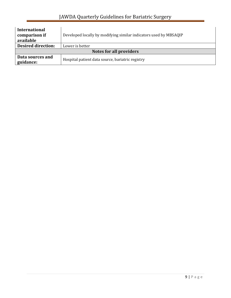| <b>International</b><br>comparison if<br>available | Developed locally by modifying similar indicators used by MBSAQIP |  |
|----------------------------------------------------|-------------------------------------------------------------------|--|
| <b>Desired direction:</b>                          | Lower is better                                                   |  |
| Notes for all providers                            |                                                                   |  |
| Data sources and<br>guidance:                      | Hospital patient data source, bariatric registry                  |  |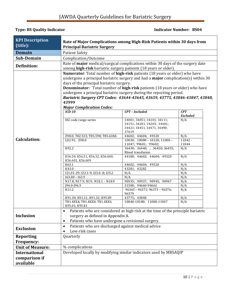#### **Type: BS Quality Indicator Contracts Contracts and Separate Indicator Number: BS04**

| <b>KPI Description</b>  | Rate of Major Complications among High-Risk Patients within 30 days from                                                                                                                                                                                                                                                                                                                                                                                    |                                                                                                    |                        |
|-------------------------|-------------------------------------------------------------------------------------------------------------------------------------------------------------------------------------------------------------------------------------------------------------------------------------------------------------------------------------------------------------------------------------------------------------------------------------------------------------|----------------------------------------------------------------------------------------------------|------------------------|
| (title):                | <b>Principal Bariatric Surgery</b>                                                                                                                                                                                                                                                                                                                                                                                                                          |                                                                                                    |                        |
| <b>Domain</b>           | <b>Patient Safety</b>                                                                                                                                                                                                                                                                                                                                                                                                                                       |                                                                                                    |                        |
| Sub-Domain              | Complication/Outcome                                                                                                                                                                                                                                                                                                                                                                                                                                        |                                                                                                    |                        |
| <b>Definition:</b>      | Rate of major medical/surgical complications within 30 days of the surgery date                                                                                                                                                                                                                                                                                                                                                                             |                                                                                                    |                        |
|                         | among high-risk bariatric surgery patients (18 years or older).                                                                                                                                                                                                                                                                                                                                                                                             |                                                                                                    |                        |
|                         | Numerator: Total number of high-risk patients (18 years or older) who have<br>undergone a principal bariatric surgery and had a major complication(s) within 30<br>days of the principal bariatric surgery.<br>Denominator: Total number of high-risk patients (18 years or older) who have<br>undergone a principal bariatric surgery during the reporting period.<br>Bariatric Surgery CPT Codes: 43644-43645, 43659, 43775, 43846-43847, 43848,<br>43999 |                                                                                                    |                        |
|                         | <b>Major Complication Codes:</b>                                                                                                                                                                                                                                                                                                                                                                                                                            |                                                                                                    |                        |
|                         | $ICD-10$                                                                                                                                                                                                                                                                                                                                                                                                                                                    | CPT - Included                                                                                     | CPT<br><b>Excluded</b> |
|                         | 182 code range series                                                                                                                                                                                                                                                                                                                                                                                                                                       | 34001; 34051; 34101; 34111;<br>34151; 34201; 34203; 34401;<br>34421; 34451, 34471, 34490;<br>37619 | N/A                    |
|                         | Z98.0; T82.533; T85.598; T85.638A                                                                                                                                                                                                                                                                                                                                                                                                                           | 44602; 44604; 49320                                                                                | N/A                    |
| <b>Calculation:</b>     | L02.91; Z98.0                                                                                                                                                                                                                                                                                                                                                                                                                                               | $10030$ ; $10080 - 10120$ ; $11000 -$<br>11047; 99601; 99602;                                      | $11042 -$<br>11044     |
|                         | K92.2                                                                                                                                                                                                                                                                                                                                                                                                                                                       | 36430; 36440; ; 36450; 36455;<br><b>Blood transfusion</b>                                          | N/A                    |
|                         | K56.50, K56.51, K56.52, K56.600,<br>K56.601, K56.609                                                                                                                                                                                                                                                                                                                                                                                                        | 44180; 44602; 44604; 49320                                                                         | N/A                    |
|                         | K63.1                                                                                                                                                                                                                                                                                                                                                                                                                                                       | 44602; 44604; 49320                                                                                | N/A                    |
|                         | K43.0                                                                                                                                                                                                                                                                                                                                                                                                                                                       | 43281; 43282                                                                                       | N/A                    |
|                         | 121.01-29; 122.1-9; 123.0-.8; 125.2                                                                                                                                                                                                                                                                                                                                                                                                                         | N/A                                                                                                | N/A                    |
|                         | $I63.00 - I63.9$                                                                                                                                                                                                                                                                                                                                                                                                                                            | N/A                                                                                                | N/A                    |
|                         | N17.8; N17.9; N19; N18.1 - N18.9<br>J96.0-J96.9                                                                                                                                                                                                                                                                                                                                                                                                             | 90935; 90937; 90945; 90947<br>31500; 94660-94662                                                   | N/A<br>N/A             |
|                         | R11.2                                                                                                                                                                                                                                                                                                                                                                                                                                                       | 96365 - 96371; 96373 - 96376;                                                                      | N/A                    |
|                         |                                                                                                                                                                                                                                                                                                                                                                                                                                                             | 96379                                                                                              |                        |
|                         | K91.30; K91.31; K91.32; K95.89                                                                                                                                                                                                                                                                                                                                                                                                                              | 43775; 43848                                                                                       | N/A                    |
|                         | T81.4XXA; T81.4XXD; T81.4XXS;                                                                                                                                                                                                                                                                                                                                                                                                                               | 10040-10180; 11000-11047                                                                           | N/A                    |
| <b>Inclusion</b>        | K95.01; K95.81<br>$\bullet$<br>surgery as defined in Appendix A.                                                                                                                                                                                                                                                                                                                                                                                            | Patients who are considered as high risk at the time of the principle bariatric                    |                        |
|                         | Patients who have undergone a revisional surgery.<br>$\bullet$                                                                                                                                                                                                                                                                                                                                                                                              |                                                                                                    |                        |
|                         | Patients who are discharged against medical advice<br>$\bullet$                                                                                                                                                                                                                                                                                                                                                                                             |                                                                                                    |                        |
| <b>Exclusion</b>        | Low-risk cases                                                                                                                                                                                                                                                                                                                                                                                                                                              |                                                                                                    |                        |
| <b>Reporting</b>        | Quarterly                                                                                                                                                                                                                                                                                                                                                                                                                                                   |                                                                                                    |                        |
| <b>Frequency:</b>       |                                                                                                                                                                                                                                                                                                                                                                                                                                                             |                                                                                                    |                        |
| <b>Unit of Measure:</b> | % complications                                                                                                                                                                                                                                                                                                                                                                                                                                             |                                                                                                    |                        |
| <b>International</b>    | Developed locally by modifying similar indicators used by MBSAQIP                                                                                                                                                                                                                                                                                                                                                                                           |                                                                                                    |                        |
| comparison if           |                                                                                                                                                                                                                                                                                                                                                                                                                                                             |                                                                                                    |                        |
|                         |                                                                                                                                                                                                                                                                                                                                                                                                                                                             |                                                                                                    |                        |
| available               |                                                                                                                                                                                                                                                                                                                                                                                                                                                             |                                                                                                    |                        |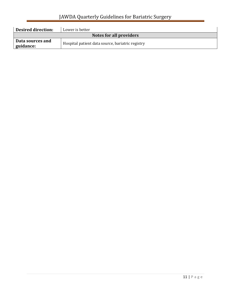| <b>Desired direction:</b>       | Lower is better                                  |  |
|---------------------------------|--------------------------------------------------|--|
| Notes for all providers         |                                                  |  |
| Data sources and<br>  guidance: | Hospital patient data source, bariatric registry |  |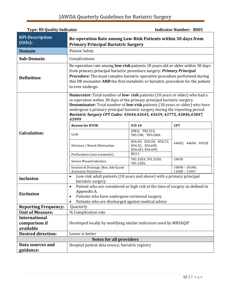# JAWDA Quarterly Guidelines for Bariatric Surgery

| <b>Type: BS Quality Indicator</b><br><b>Indicator Number: BS05</b> |                                                                                                                                                                                                                                                                                                                                                                                                       |                                                                  |                                     |
|--------------------------------------------------------------------|-------------------------------------------------------------------------------------------------------------------------------------------------------------------------------------------------------------------------------------------------------------------------------------------------------------------------------------------------------------------------------------------------------|------------------------------------------------------------------|-------------------------------------|
| <b>KPI Description</b><br>(title):                                 | Re-operation Rate among Low-Risk Patients within 30 days from<br><b>Primary Principal Bariatric Surgery</b>                                                                                                                                                                                                                                                                                           |                                                                  |                                     |
| <b>Domain</b>                                                      | <b>Patient Safety</b>                                                                                                                                                                                                                                                                                                                                                                                 |                                                                  |                                     |
| <b>Sub-Domain</b>                                                  | Complications                                                                                                                                                                                                                                                                                                                                                                                         |                                                                  |                                     |
| <b>Definition:</b>                                                 | Re-operation rate among low-risk patients 18 years old or older within 30 days<br>from primary principal bariatric procedure surgery. Primary Principal<br>Procedure: The most complex bariatric operative procedure performed during<br>this OR encounter AND the first metabolic or bariatric procedure for the patient<br>to ever undergo.                                                         |                                                                  |                                     |
|                                                                    | Numerator: Total number of low-risk patients (18 years or older) who had a<br>re-operation within 30 days of the primary principal bariatric surgery.<br>Denominator: Total number of low-risk patients (18 years or older) who have<br>undergone a primary principal bariatric surgery during the reporting period.<br>Bariatric Surgery CPT Codes: 43644,43645, 43659, 43775, 43846,43847,<br>43999 |                                                                  |                                     |
|                                                                    | <b>Reason for RTOR</b>                                                                                                                                                                                                                                                                                                                                                                                | $ICD-10$                                                         | <b>CPT</b>                          |
| <b>Calculation:</b>                                                | Leak                                                                                                                                                                                                                                                                                                                                                                                                  | Z98.0; T82.533;<br>T85.598; T85.638A                             |                                     |
|                                                                    | Stricture / Bowel Obstruction                                                                                                                                                                                                                                                                                                                                                                         | K56.49; K56.50; K56.51;<br>K56.52; K56.600,<br>K56.601, K56.609; | 44602; 44604; 49320                 |
|                                                                    | Perforations (non-traumatic)                                                                                                                                                                                                                                                                                                                                                                          | K63.1                                                            |                                     |
|                                                                    | Severe Wound Infection                                                                                                                                                                                                                                                                                                                                                                                | T81.32XA, T81.32XD,<br>T81.32XS;                                 | 10030                               |
|                                                                    | Incision & Drainage, Skin, Sub-Q and<br><b>Accessory Structures</b>                                                                                                                                                                                                                                                                                                                                   |                                                                  | $10040 - 10180;$<br>$11000 - 11047$ |
| <b>Inclusion</b>                                                   | Low-risk adult patients (18 years and above) with a primary principal<br>$\bullet$<br>bariatric surgery                                                                                                                                                                                                                                                                                               |                                                                  |                                     |
| <b>Exclusion</b>                                                   | Patient who are considered as high risk at the time of surgery as defined in<br>$\bullet$<br>Appendix A.<br>Patients who have undergone revisional surgery.<br>Patients who are discharged against medical advice                                                                                                                                                                                     |                                                                  |                                     |
| <b>Reporting Frequency:</b>                                        | Quarterly                                                                                                                                                                                                                                                                                                                                                                                             |                                                                  |                                     |
| <b>Unit of Measure:</b>                                            | % Complication rate                                                                                                                                                                                                                                                                                                                                                                                   |                                                                  |                                     |
| <b>International</b><br>comparison if<br>available                 | Developed locally by modifying similar indicators used by MBSAQIP                                                                                                                                                                                                                                                                                                                                     |                                                                  |                                     |
| <b>Desired direction:</b>                                          | Lower is better                                                                                                                                                                                                                                                                                                                                                                                       |                                                                  |                                     |
|                                                                    | <b>Notes for all providers</b>                                                                                                                                                                                                                                                                                                                                                                        |                                                                  |                                     |
| Data sources and                                                   | Hospital patient data source, bariatric registry                                                                                                                                                                                                                                                                                                                                                      |                                                                  |                                     |
| guidance:                                                          |                                                                                                                                                                                                                                                                                                                                                                                                       |                                                                  |                                     |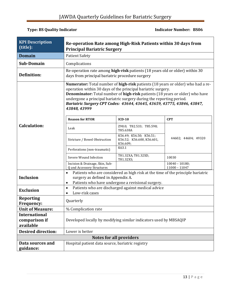#### **Type: BS Quality Indicator Contracts Contracts Contracts Contracts Contracts Contracts Contracts Contracts Contracts Contracts Contracts Contracts Contracts Contracts Contracts Contracts Contracts Contracts Contracts Cont**

| <b>KPI Description</b><br>(title):                 | Re-operation Rate among High-Risk Patients within 30 days from<br><b>Principal Bariatric Surgery</b>                                                                                                                                                                                                                                                                                                                          |                                                                                                                                 |                                     |
|----------------------------------------------------|-------------------------------------------------------------------------------------------------------------------------------------------------------------------------------------------------------------------------------------------------------------------------------------------------------------------------------------------------------------------------------------------------------------------------------|---------------------------------------------------------------------------------------------------------------------------------|-------------------------------------|
| <b>Domain</b>                                      | <b>Patient Safety</b>                                                                                                                                                                                                                                                                                                                                                                                                         |                                                                                                                                 |                                     |
| <b>Sub-Domain</b>                                  | Complications                                                                                                                                                                                                                                                                                                                                                                                                                 |                                                                                                                                 |                                     |
| Definition:                                        |                                                                                                                                                                                                                                                                                                                                                                                                                               | Re-operation rate among high-risk patients (18 years old or older) within 30<br>days from principal bariatric procedure surgery |                                     |
|                                                    | <b>Numerator:</b> Total number of <b>high-risk</b> patients (18 years or older) who had a re-<br>operation within 30 days of the principal bariatric surgery.<br><b>Denominator:</b> Total number of <b>high-risk</b> patients (18 years or older) who have<br>undergone a principal bariatric surgery during the reporting period.<br>Bariatric Surgery CPT Codes: 43644, 43645, 43659, 43775, 43846, 43847,<br>43848, 43999 |                                                                                                                                 |                                     |
|                                                    | <b>Reason for RTOR</b>                                                                                                                                                                                                                                                                                                                                                                                                        | $ICD-10$                                                                                                                        | <b>CPT</b>                          |
| <b>Calculation:</b>                                | Leak                                                                                                                                                                                                                                                                                                                                                                                                                          | Z98.0; T82.533; T85.598;<br>T85.638A                                                                                            |                                     |
|                                                    | Stricture / Bowel Obstruction                                                                                                                                                                                                                                                                                                                                                                                                 | K56.49; K56.50; K56.51;<br>K56.52; K56.600, K56.601,<br>K56.609;                                                                | 44602; 44604; 49320                 |
|                                                    | Perforations (non-traumatic)                                                                                                                                                                                                                                                                                                                                                                                                  | K63.1                                                                                                                           |                                     |
|                                                    | Severe Wound Infection                                                                                                                                                                                                                                                                                                                                                                                                        | T81.32XA, T81.32XD,<br>T81.32XS;                                                                                                | 10030                               |
|                                                    | Incision & Drainage, Skin, Sub-<br>Q and Accessory Structures                                                                                                                                                                                                                                                                                                                                                                 |                                                                                                                                 | $10040 - 10180;$<br>$11000 - 11047$ |
| <b>Inclusion</b>                                   | Patients who are considered as high risk at the time of the principle bariatric<br>$\bullet$<br>surgery as defined in Appendix A.<br>Patients who have undergone a revisional surgery.<br>$\bullet$                                                                                                                                                                                                                           |                                                                                                                                 |                                     |
| <b>Exclusion</b>                                   | Patients who are discharged against medical advice<br>$\bullet$<br>Low-risk cases<br>$\bullet$                                                                                                                                                                                                                                                                                                                                |                                                                                                                                 |                                     |
| <b>Reporting</b><br><b>Frequency:</b>              | Quarterly                                                                                                                                                                                                                                                                                                                                                                                                                     |                                                                                                                                 |                                     |
| <b>Unit of Measure:</b>                            | % Complication rate                                                                                                                                                                                                                                                                                                                                                                                                           |                                                                                                                                 |                                     |
| <b>International</b><br>comparison if<br>available | Developed locally by modifying similar indicators used by MBSAQIP                                                                                                                                                                                                                                                                                                                                                             |                                                                                                                                 |                                     |
| <b>Desired direction:</b>                          | Lower is better                                                                                                                                                                                                                                                                                                                                                                                                               |                                                                                                                                 |                                     |
|                                                    |                                                                                                                                                                                                                                                                                                                                                                                                                               | <b>Notes for all providers</b>                                                                                                  |                                     |
| Data sources and<br>guidance:                      | Hospital patient data source, bariatric registry                                                                                                                                                                                                                                                                                                                                                                              |                                                                                                                                 |                                     |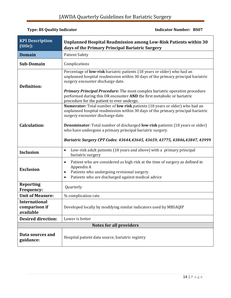| <b>KPI Description</b><br>(title):                 | Unplanned Hospital Readmission among Low-Risk Patients within 30<br>days of the Primary Principal Bariatric Surgery                                                                                                                                                                                                                                                                                                                            |
|----------------------------------------------------|------------------------------------------------------------------------------------------------------------------------------------------------------------------------------------------------------------------------------------------------------------------------------------------------------------------------------------------------------------------------------------------------------------------------------------------------|
| <b>Domain</b>                                      | <b>Patient Safety</b>                                                                                                                                                                                                                                                                                                                                                                                                                          |
| <b>Sub-Domain</b>                                  | Complications                                                                                                                                                                                                                                                                                                                                                                                                                                  |
| <b>Definition:</b>                                 | Percentage of low-risk bariatric patients (18 years or older) who had an<br>unplanned hospital readmission within 30 days of the primary principal bariatric<br>surgery encounter discharge date.<br><b>Primary Principal Procedure:</b> The most complex bariatric operative procedure<br>performed during this OR encounter AND the first metabolic or bariatric<br>procedure for the patient to ever undergo.                               |
| <b>Calculation:</b>                                | Numerator: Total number of low risk patients (18 years or older) who had an<br>unplanned hospital readmission within 30 days of the primary principal bariatric<br>surgery encounter discharge date.<br><b>Denominator:</b> Total number of discharged <b>low-risk</b> patients (18 years or older)<br>who have undergone a primary principal bariatric surgery.<br>Bariatric Surgery CPT Codes: 43644,43645, 43659, 43775, 43846,43847, 43999 |
| <b>Inclusion</b>                                   | Low-risk adult patients (18 years and above) with a primary principal<br>$\bullet$<br>bariatric surgery                                                                                                                                                                                                                                                                                                                                        |
| <b>Exclusion</b>                                   | Patient who are considered as high risk at the time of surgery as defined in<br>$\bullet$<br>Appendix A<br>Patients who undergoing revisional surgery.<br>$\bullet$<br>Patients who are discharged against medical advice<br>$\bullet$                                                                                                                                                                                                         |
| <b>Reporting</b><br><b>Frequency:</b>              | Quarterly                                                                                                                                                                                                                                                                                                                                                                                                                                      |
| <b>Unit of Measure:</b>                            | % complication rate                                                                                                                                                                                                                                                                                                                                                                                                                            |
| <b>International</b><br>comparison if<br>available | Developed locally by modifying similar indicators used by MBSAQIP                                                                                                                                                                                                                                                                                                                                                                              |
| <b>Desired direction:</b>                          | Lower is better                                                                                                                                                                                                                                                                                                                                                                                                                                |
|                                                    | <b>Notes for all providers</b>                                                                                                                                                                                                                                                                                                                                                                                                                 |
| Data sources and<br>guidance:                      | Hospital patient data source, bariatric registry                                                                                                                                                                                                                                                                                                                                                                                               |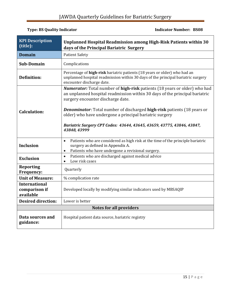| <b>KPI Description</b><br>(title):                 | Unplanned Hospital Readmission among High-Risk Patients within 30<br>days of the Principal Bariatric Surgery                                                                                                                                                                                                                                                                                                                                |
|----------------------------------------------------|---------------------------------------------------------------------------------------------------------------------------------------------------------------------------------------------------------------------------------------------------------------------------------------------------------------------------------------------------------------------------------------------------------------------------------------------|
| <b>Domain</b>                                      | <b>Patient Safety</b>                                                                                                                                                                                                                                                                                                                                                                                                                       |
| Sub-Domain                                         | Complications                                                                                                                                                                                                                                                                                                                                                                                                                               |
| <b>Definition:</b>                                 | Percentage of high-risk bariatric patients (18 years or older) who had an<br>unplanned hospital readmission within 30 days of the principal bariatric surgery<br>encounter discharge date.                                                                                                                                                                                                                                                  |
| <b>Calculation:</b>                                | Numerator: Total number of high-risk patients (18 years or older) who had<br>an unplanned hospital readmission within 30 days of the principal bariatric<br>surgery encounter discharge date.<br><b>Denominator:</b> Total number of discharged <b>high-risk</b> patients (18 years or<br>older) who have undergone a principal bariatric surgery<br>Bariatric Surgery CPT Codes: 43644, 43645, 43659, 43775, 43846, 43847,<br>43848, 43999 |
| <b>Inclusion</b>                                   | Patients who are considered as high risk at the time of the principle bariatric<br>$\bullet$<br>surgery as defined in Appendix A.<br>Patients who have undergone a revisional surgery.<br>$\bullet$                                                                                                                                                                                                                                         |
| <b>Exclusion</b>                                   | Patients who are discharged against medical advice<br>$\bullet$<br>Low risk cases<br>$\bullet$                                                                                                                                                                                                                                                                                                                                              |
| <b>Reporting</b><br><b>Frequency:</b>              | Quarterly                                                                                                                                                                                                                                                                                                                                                                                                                                   |
| <b>Unit of Measure:</b>                            | % complication rate                                                                                                                                                                                                                                                                                                                                                                                                                         |
| <b>International</b><br>comparison if<br>available | Developed locally by modifying similar indicators used by MBSAQIP                                                                                                                                                                                                                                                                                                                                                                           |
| <b>Desired direction:</b>                          | Lower is better                                                                                                                                                                                                                                                                                                                                                                                                                             |
|                                                    | <b>Notes for all providers</b>                                                                                                                                                                                                                                                                                                                                                                                                              |
| Data sources and<br>guidance:                      | Hospital patient data source, bariatric registry                                                                                                                                                                                                                                                                                                                                                                                            |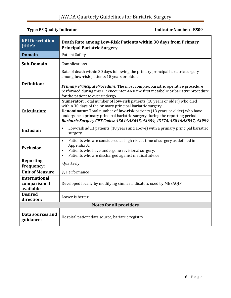#### **Type: BS Quality Indicator Contracts Contracts Contracts Contracts Contracts Contracts Contracts Contracts Contracts Contracts Contracts Contracts Contracts Contracts Contracts Contracts Contracts Contracts Contracts Cont**

| <b>KPI Description</b><br>(title):                 | Death Rate among Low-Risk Patients within 30 days from Primary<br><b>Principal Bariatric Surgery</b>                                                                                                                                                                                                                                                                                              |  |
|----------------------------------------------------|---------------------------------------------------------------------------------------------------------------------------------------------------------------------------------------------------------------------------------------------------------------------------------------------------------------------------------------------------------------------------------------------------|--|
| <b>Domain</b>                                      | <b>Patient Safety</b>                                                                                                                                                                                                                                                                                                                                                                             |  |
| <b>Sub-Domain</b>                                  | Complications                                                                                                                                                                                                                                                                                                                                                                                     |  |
| <b>Definition:</b>                                 | Rate of death within 30 days following the primary principal bariatric surgery<br>among low-risk patients 18 years or older.<br>Primary Principal Procedure: The most complex bariatric operative procedure<br>performed during this OR encounter AND the first metabolic or bariatric procedure<br>for the patient to ever undergo.                                                              |  |
| <b>Calculation:</b>                                | Numerator: Total number of low-risk patients (18 years or older) who died<br>within 30 days of the primary principal bariatric surgery.<br><b>Denominator:</b> Total number of <b>low-risk</b> patients (18 years or older) who have<br>undergone a primary principal bariatric surgery during the reporting period<br>Bariatric Surgery CPT Codes: 43644,43645, 43659, 43775, 43846,43847, 43999 |  |
| <b>Inclusion</b>                                   | Low-risk adult patients (18 years and above) with a primary principal bariatric<br>$\bullet$<br>surgery.                                                                                                                                                                                                                                                                                          |  |
| <b>Exclusion</b>                                   | Patients who are considered as high risk at time of surgery as defined in<br>$\bullet$<br>Appendix A.<br>Patients who have undergone revisional surgery.<br>$\bullet$<br>Patients who are discharged against medical advice<br>$\bullet$                                                                                                                                                          |  |
| <b>Reporting</b><br><b>Frequency:</b>              | Quarterly                                                                                                                                                                                                                                                                                                                                                                                         |  |
| <b>Unit of Measure:</b>                            | % Performance                                                                                                                                                                                                                                                                                                                                                                                     |  |
| <b>International</b><br>comparison if<br>available | Developed locally by modifying similar indicators used by MBSAQIP                                                                                                                                                                                                                                                                                                                                 |  |
| <b>Desired</b><br>direction:                       | Lower is better                                                                                                                                                                                                                                                                                                                                                                                   |  |
| <b>Notes for all providers</b>                     |                                                                                                                                                                                                                                                                                                                                                                                                   |  |
| Data sources and<br>guidance:                      | Hospital patient data source, bariatric registry                                                                                                                                                                                                                                                                                                                                                  |  |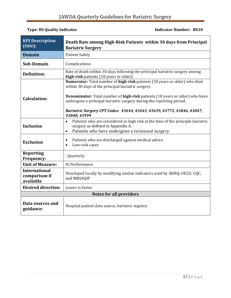#### **Type: BS Quality Indicator Contracts Contracts Contracts Contracts Contracts Contracts Contracts Contracts Contracts Contracts Contracts Contracts Contracts Contracts Contracts Contracts Contracts Contracts Contracts Cont**

| <b>KPI Description</b><br>(title):                 | Death Rate among High-Risk Patients within 30 days from Principal<br><b>Bariatric Surgery</b>                                                                                                       |  |
|----------------------------------------------------|-----------------------------------------------------------------------------------------------------------------------------------------------------------------------------------------------------|--|
| <b>Domain</b>                                      | <b>Patient Safety</b>                                                                                                                                                                               |  |
| <b>Sub-Domain</b>                                  | Complications                                                                                                                                                                                       |  |
| <b>Definition:</b>                                 | Rate of death within 30 days following the principal bariatric surgery among<br>high-risk patients (18 years or older).                                                                             |  |
|                                                    | Numerator: Total number of high-risk patients (18 years or older) who died<br>within 30 days of the principal bariatric surgery.                                                                    |  |
| <b>Calculation:</b>                                | <b>Denominator:</b> Total number of <b>high-risk</b> patients (18 years or older) who have<br>undergone a principal bariatric surgery during the reporting period.                                  |  |
|                                                    | Bariatric Surgery CPT Codes: 43644, 43645, 43659, 43775, 43846, 43847,<br>43848, 43999                                                                                                              |  |
| <b>Inclusion</b>                                   | Patients who are considered as high risk at the time of the principle bariatric<br>$\bullet$<br>surgery as defined in Appendix A.<br>Patients who have undergone a revisional surgery.<br>$\bullet$ |  |
| <b>Exclusion</b>                                   | Patients who are discharged against medical advice<br>$\bullet$<br>Low-risk cases<br>$\bullet$                                                                                                      |  |
| <b>Reporting</b><br>Frequency:                     | Quarterly                                                                                                                                                                                           |  |
| <b>Unit of Measure:</b>                            | % Performance                                                                                                                                                                                       |  |
| <b>International</b><br>comparison if<br>available | Developed locally by modifying similar indicators used by AHRQ, OECD, CQC,<br>and MBSAQIP                                                                                                           |  |
| <b>Desired direction:</b>                          | Lower is better                                                                                                                                                                                     |  |
|                                                    | <b>Notes for all providers</b>                                                                                                                                                                      |  |
| Data sources and<br>guidance:                      | Hospital patient data source, bariatric registry                                                                                                                                                    |  |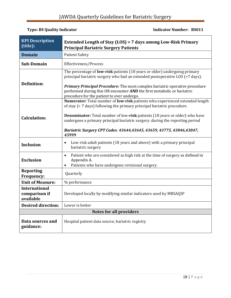| <b>KPI Description</b><br>(title):                 | Extended Length of Stay (LOS) > 7 days among Low-Risk Primary<br><b>Principal Bariatric Surgery Patients</b>                                                                                                                                                                                                                                                                                                   |  |  |
|----------------------------------------------------|----------------------------------------------------------------------------------------------------------------------------------------------------------------------------------------------------------------------------------------------------------------------------------------------------------------------------------------------------------------------------------------------------------------|--|--|
| <b>Domain</b>                                      | <b>Patient Safety</b>                                                                                                                                                                                                                                                                                                                                                                                          |  |  |
| Sub-Domain                                         | Effectiveness/Process                                                                                                                                                                                                                                                                                                                                                                                          |  |  |
| <b>Definition:</b>                                 | The percentage of <b>low-risk</b> patients (18 years or older) undergoing primary<br>principal bariatric surgery who had an extended postoperative LOS (>7 days).<br><b>Primary Principal Procedure:</b> The most complex bariatric operative procedure<br>performed during this OR encounter AND the first metabolic or bariatric<br>procedure for the patient to ever undergo.                               |  |  |
| <b>Calculation:</b>                                | Numerator: Total number of low-risk patients who experienced extended length<br>of stay (> 7 days) following the primary principal bariatric procedure.<br><b>Denominator:</b> Total number of low-risk patients (18 years or older) who have<br>undergone a primary principal bariatric surgery. during the reporting period<br>Bariatric Surgery CPT Codes: 43644,43645, 43659, 43775, 43846,43847,<br>43999 |  |  |
| <b>Inclusion</b>                                   | Low-risk adult patients (18 years and above) with a primary principal<br>$\bullet$<br>bariatric surgery                                                                                                                                                                                                                                                                                                        |  |  |
| <b>Exclusion</b>                                   | Patient who are considered as high risk at the time of surgery as defined in<br>$\bullet$<br>Appendix A.<br>Patients who have undergone revisional surgery.                                                                                                                                                                                                                                                    |  |  |
| <b>Reporting</b><br>Frequency:                     | Quarterly                                                                                                                                                                                                                                                                                                                                                                                                      |  |  |
| <b>Unit of Measure:</b>                            | % performance                                                                                                                                                                                                                                                                                                                                                                                                  |  |  |
| <b>International</b><br>comparison if<br>available | Developed locally by modifying similar indicators used by MBSAQIP                                                                                                                                                                                                                                                                                                                                              |  |  |
| <b>Desired direction:</b>                          | Lower is better                                                                                                                                                                                                                                                                                                                                                                                                |  |  |
|                                                    | <b>Notes for all providers</b>                                                                                                                                                                                                                                                                                                                                                                                 |  |  |
| Data sources and<br>guidance:                      | Hospital patient data source, bariatric registry                                                                                                                                                                                                                                                                                                                                                               |  |  |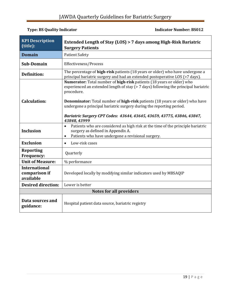| <b>KPI Description</b><br>(title):                 | Extended Length of Stay (LOS) > 7 days among High-Risk Bariatric<br><b>Surgery Patients</b>                                                                                                                                                                                                                                                                                                                                                |  |
|----------------------------------------------------|--------------------------------------------------------------------------------------------------------------------------------------------------------------------------------------------------------------------------------------------------------------------------------------------------------------------------------------------------------------------------------------------------------------------------------------------|--|
| <b>Domain</b>                                      | <b>Patient Safety</b>                                                                                                                                                                                                                                                                                                                                                                                                                      |  |
| <b>Sub-Domain</b>                                  | Effectiveness/Process                                                                                                                                                                                                                                                                                                                                                                                                                      |  |
| <b>Definition:</b>                                 | The percentage of high-risk patients (18 years or older) who have undergone a<br>principal bariatric surgery and had an extended postoperative LOS (>7 days).                                                                                                                                                                                                                                                                              |  |
| <b>Calculation:</b>                                | Numerator: Total number of high-risk patients (18 years or older) who<br>experienced an extended length of stay (> 7 days) following the principal bariatric<br>procedure.<br><b>Denominator:</b> Total number of <b>high-risk</b> patients (18 years or older) who have<br>undergone a principal bariatric surgery during the reporting period.<br>Bariatric Surgery CPT Codes: 43644, 43645, 43659, 43775, 43846, 43847,<br>43848, 43999 |  |
| <b>Inclusion</b>                                   | Patients who are considered as high risk at the time of the principle bariatric<br>$\bullet$<br>surgery as defined in Appendix A.<br>Patients who have undergone a revisional surgery.<br>$\bullet$                                                                                                                                                                                                                                        |  |
| <b>Exclusion</b>                                   | Low-risk cases<br>$\bullet$                                                                                                                                                                                                                                                                                                                                                                                                                |  |
| <b>Reporting</b><br><b>Frequency:</b>              | Quarterly                                                                                                                                                                                                                                                                                                                                                                                                                                  |  |
| <b>Unit of Measure:</b>                            | % performance                                                                                                                                                                                                                                                                                                                                                                                                                              |  |
| <b>International</b><br>comparison if<br>available | Developed locally by modifying similar indicators used by MBSAQIP                                                                                                                                                                                                                                                                                                                                                                          |  |
| <b>Desired direction:</b>                          | Lower is better                                                                                                                                                                                                                                                                                                                                                                                                                            |  |
|                                                    | <b>Notes for all providers</b>                                                                                                                                                                                                                                                                                                                                                                                                             |  |
| Data sources and<br>guidance:                      | Hospital patient data source, bariatric registry                                                                                                                                                                                                                                                                                                                                                                                           |  |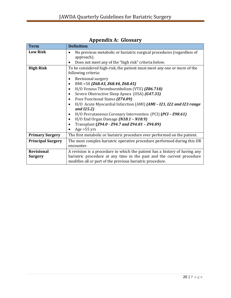<span id="page-19-0"></span>

| <b>Term</b>                         | <b>Definition</b>                                                                                                                                                                                                                                                                                                                                                                                                                                                                                                                                                                        |  |  |
|-------------------------------------|------------------------------------------------------------------------------------------------------------------------------------------------------------------------------------------------------------------------------------------------------------------------------------------------------------------------------------------------------------------------------------------------------------------------------------------------------------------------------------------------------------------------------------------------------------------------------------------|--|--|
| <b>Low Risk</b>                     | No previous metabolic or bariatric surgical procedures (regardless of<br>$\bullet$<br>approach).<br>Does not meet any of the "high risk" criteria below.<br>$\bullet$                                                                                                                                                                                                                                                                                                                                                                                                                    |  |  |
| <b>High Risk</b>                    | To be considered high-risk, the patient must meet any one or more of the<br>following criteria:                                                                                                                                                                                                                                                                                                                                                                                                                                                                                          |  |  |
|                                     | Revisional surgery<br>$\bullet$<br>BMI > 50 (Z68.43, Z68.44, Z68.45)<br>$\bullet$<br>H/O Venous Thromboembolism (VTE) (Z86.718)<br>$\bullet$<br>Severe Obstructive Sleep Apnea (OSA) (G47.33)<br>$\bullet$<br>Poor Functional Status (Z74.09)<br>$\bullet$<br>H/O Acute Myocardial Infarction (AMI) (AMI - I21, I22 and I23 range<br>and <i>[25.2]</i><br>H/O Percutaneous Coronary Intervention (PCI) (PCI - Z98.61)<br>$\bullet$<br>$H/O$ End Organ Damage $(N18.1 - N18.9)$<br>$\bullet$<br>Transplant (Z94.0 - Z94.7 and Z94.81 - Z94.89)<br>$\bullet$<br>Age $>55$ yrs<br>$\bullet$ |  |  |
| <b>Primary Surgery</b>              | The first metabolic or bariatric procedure ever performed on the patient.                                                                                                                                                                                                                                                                                                                                                                                                                                                                                                                |  |  |
| <b>Principal Surgery</b>            | The most complex bariatric operative procedure performed during this OR<br>encounter.                                                                                                                                                                                                                                                                                                                                                                                                                                                                                                    |  |  |
| <b>Revisional</b><br><b>Surgery</b> | A revision is a procedure in which the patient has a history of having any<br>bariatric procedure at any time in the past and the current procedure<br>modifies all or part of the previous bariatric procedure.                                                                                                                                                                                                                                                                                                                                                                         |  |  |

**Appendix A: Glossary**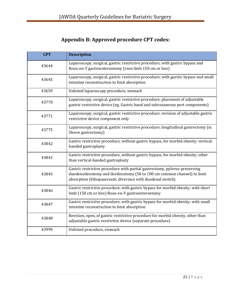# **Appendix B: Approved procedure CPT codes:**

<span id="page-20-0"></span>

| <b>CPT</b> | <b>Description</b>                                                                                                                                                                                                     |
|------------|------------------------------------------------------------------------------------------------------------------------------------------------------------------------------------------------------------------------|
| 43644      | Laparoscopy, surgical, gastric restrictive procedure; with gastric bypass and<br>Roux-en-Y gastroenterostomy (roux limb 150 cm or less)                                                                                |
| 43645      | Laparoscopy, surgical, gastric restrictive procedure; with gastric bypass and small<br>intestine reconstruction to limit absorption                                                                                    |
| 43659      | Unlisted laparoscopy procedure, stomach                                                                                                                                                                                |
| 43770      | Laparoscopy, surgical, gastric restrictive procedure; placement of adjustable<br>gastric restrictive device (eg. Gastric band and subcutaneous port components)                                                        |
| 43771      | Laparoscopy, surgical, gastric restrictive procedure; revision of adjustable gastric<br>restrictive device component only                                                                                              |
| 43775      | Laparoscopy, surgical, gastric restrictive procedure; longitudinal gastrectomy (ie.<br>Sleeve gastrectomy)                                                                                                             |
| 43842      | Gastric restrictive procedure, without gastric bypass, for morbid obesity; vertical-<br>banded gastroplasty                                                                                                            |
| 43843      | Gastric restrictive procedure, without gastric bypass, for morbid obesity; other<br>than vertical-banded gastroplasty                                                                                                  |
| 43845      | Gastric restrictive procedure with partial gastrectomy, pylorus-preserving<br>duodenoileostomy and ileoileostomy (50 to 100 cm common channel) to limit<br>absorption (biliopancreatic diversion with duodenal switch) |
| 43846      | Gastric restrictive procedure, with gastric bypass for morbid obesity; with short<br>limb (150 cm or less) Roux-en-Y gastroenterostomy                                                                                 |
| 43847      | Gastric restrictive procedure, with gastric bypass for morbid obesity; with small<br>intestine reconstruction to limit absorption                                                                                      |
| 43848      | Revision, open, of gastric restrictive procedure for morbid obesity, other than<br>adjustable gastric restrictive device (separate procedure)                                                                          |
| 43999      | Unlisted procedure, stomach                                                                                                                                                                                            |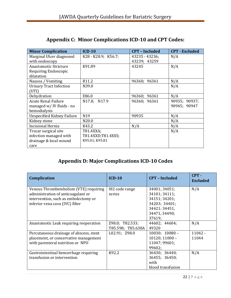<span id="page-21-0"></span>

| <b>Minor Complication</b>         | $ICD-10$            | <b>CPT - Included</b> | <b>CPT</b> - Excluded |
|-----------------------------------|---------------------|-----------------------|-----------------------|
| Marginal Ulcer diagnosed          | K28 - K28.9; K56.7; | 43235 - 43236;        | N/A                   |
| with endoscopy                    |                     | 43239; 43259          |                       |
| Anastomotic Stricture             | K91.89              | 43245                 | N/A                   |
| Requiring Endoscopic              |                     |                       |                       |
| dilatation                        |                     |                       |                       |
| Nausea / Vomiting                 | R <sub>11.2</sub>   | 96360; 96361          | N/A                   |
| <b>Urinary Tract Infection</b>    | N39.0               |                       | N/A                   |
| (UTI)                             |                     |                       |                       |
| Dehydration                       | E86.0               | 96360; 96361          | N/A                   |
| <b>Acute Renal Failure</b>        | N17.8; N17.9        | 96360; 96361          | 90935; 90937;         |
| managed w/ IV fluids - no         |                     |                       | 90945; 90947          |
| hemodialysis                      |                     |                       |                       |
| <b>Unspecified Kidney Failure</b> | N <sub>19</sub>     | 90935                 | N/A                   |
| Kidney stone                      | N20.0               |                       | N/A                   |
| <b>Incisional Hernia</b>          | K43.2               | N/A                   | N/A                   |
| Trocar surgical site              | T81.4XXA;           |                       | N/A                   |
| infection managed with            | T81.4XXD;T81.4XXS;  |                       |                       |
| drainage & local wound            | K95.01; K95.81      |                       |                       |
| care                              |                     |                       |                       |

## **Appendix C: Minor Complications ICD-10 and CPT Codes:**

## **Appendix D: Major Complications ICD-10 Codes**

<span id="page-21-1"></span>

| <b>Complication</b>                                                                                                                                    | $ICD-10$                             | <b>CPT - Included</b>                                                                                        | $CPT -$<br><b>Excluded</b> |
|--------------------------------------------------------------------------------------------------------------------------------------------------------|--------------------------------------|--------------------------------------------------------------------------------------------------------------|----------------------------|
| Venous Thrombembolism (VTE) requiring<br>administration of anticoagulant or<br>intervention, such as embolectomy or<br>inferior vena cava (IVC) filter | 182 code range<br>series             | 34001; 34051;<br>34101; 34111;<br>34151; 34201;<br>34203; 34401;<br>34421; 34451,<br>34471, 34490;<br>37619; | N/A                        |
| Anastomotic Leak requiring reoperation                                                                                                                 | Z98.0; T82.533;<br>T85.598; T85.638A | 44602; 44604;<br>49320                                                                                       | N/A                        |
| Percutaneous drainage of abscess, stent<br>placement, or conservative management<br>with parenteral nutrition or NPO                                   | L02.91; Z98.0                        | $10030; 10080 -$<br>$10120; 11000 -$<br>11047; 99601;<br>99602;                                              | $11042 -$<br>11044         |
| Gastrointestinal hemorrhage requiring<br>transfusion or intervention                                                                                   | K92.2                                | 36430; 36440;<br>36455; 36450;<br>with<br>blood transfusion                                                  | N/A                        |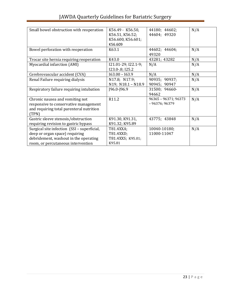| Small bowel obstruction with reoperation                                                                                                                     | K56.49 - K56.50,<br>K56.51, K56.52;<br>K56.600, K56.601;<br>K56.609 | 44180; 44602;<br>44604; 49320          | N/A |
|--------------------------------------------------------------------------------------------------------------------------------------------------------------|---------------------------------------------------------------------|----------------------------------------|-----|
| Bowel perforation with reoperation                                                                                                                           | K63.1                                                               | 44602; 44604;<br>49320                 | N/A |
| Trocar site hernia requiring reoperation                                                                                                                     | K43.0                                                               | 43281; 43282                           | N/A |
| Myocardial infarction (AMI)                                                                                                                                  | 121.01-29; I22.1-9;<br>I23.0-.8; I25.2                              | N/A                                    | N/A |
| Cerebrovascular accident (CVA)                                                                                                                               | $I63.00 - I63.9$                                                    | N/A                                    | N/A |
| Renal Failure requiring dialysis                                                                                                                             | N17.8; N17.9;<br>N19; N18.1 - N18.9                                 | 90935; 90937;<br>90945; 90947          | N/A |
| Respiratory failure requiring intubation                                                                                                                     | $[96.0 - 96.9]$                                                     | 31500; 94660-<br>94662                 | N/A |
| Chronic nausea and vomiting not<br>responsive to conservative management<br>and requiring total parenteral nutrition<br>(TPN)                                | R11.2                                                               | 96365 - 96371; 96373<br>$-96376;96379$ | N/A |
| Gastric sleeve stenosis/obstruction<br>requiring revision to gastric bypass                                                                                  | K91.30, K91.31,<br>K91.32; K95.89                                   | 43775; 43848                           | N/A |
| Surgical site infection (SSI - superficial,<br>deep or organ space) requiring<br>debridement, washout in the operating<br>room, or percutaneous intervention | T81.4XXA;<br>T81.4XXD;<br>T81.4XXS; K95.01;<br>K95.81               | 10040-10180;<br>11000-11047            | N/A |